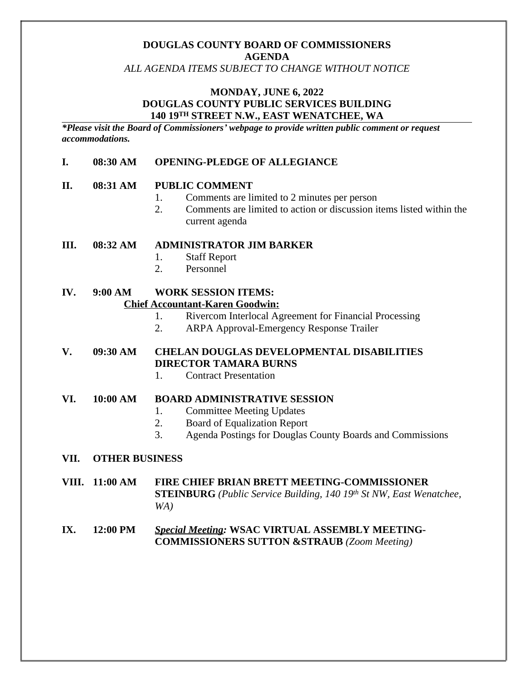# **DOUGLAS COUNTY BOARD OF COMMISSIONERS AGENDA**

*ALL AGENDA ITEMS SUBJECT TO CHANGE WITHOUT NOTICE*

#### **MONDAY, JUNE 6, 2022 DOUGLAS COUNTY PUBLIC SERVICES BUILDING 140 19TH STREET N.W., EAST WENATCHEE, WA**

*\*Please visit the Board of Commissioners' webpage to provide written public comment or request accommodations.*

#### **I. 08:30 AM OPENING-PLEDGE OF ALLEGIANCE**

#### **II. 08:31 AM PUBLIC COMMENT**

- 1. Comments are limited to 2 minutes per person
- 2. Comments are limited to action or discussion items listed within the current agenda

**III. 08:32 AM ADMINISTRATOR JIM BARKER**

- 1. Staff Report
- 2. Personnel

#### **IV. 9:00 AM WORK SESSION ITEMS: Chief Accountant-Karen Goodwin:**

- 1. Rivercom Interlocal Agreement for Financial Processing
- 2. ARPA Approval-Emergency Response Trailer

## **V. 09:30 AM CHELAN DOUGLAS DEVELOPMENTAL DISABILITIES DIRECTOR TAMARA BURNS**

1. Contract Presentation

#### **VI. 10:00 AM BOARD ADMINISTRATIVE SESSION**

- 1. Committee Meeting Updates
- 2. Board of Equalization Report
- 3. Agenda Postings for Douglas County Boards and Commissions

#### **VII. OTHER BUSINESS**

**VIII. 11:00 AM FIRE CHIEF BRIAN BRETT MEETING-COMMISSIONER STEINBURG** *(Public Service Building, 140 19th St NW, East Wenatchee, WA)*

#### **IX. 12:00 PM** *Special Meeting:* **WSAC VIRTUAL ASSEMBLY MEETING-COMMISSIONERS SUTTON &STRAUB** *(Zoom Meeting)*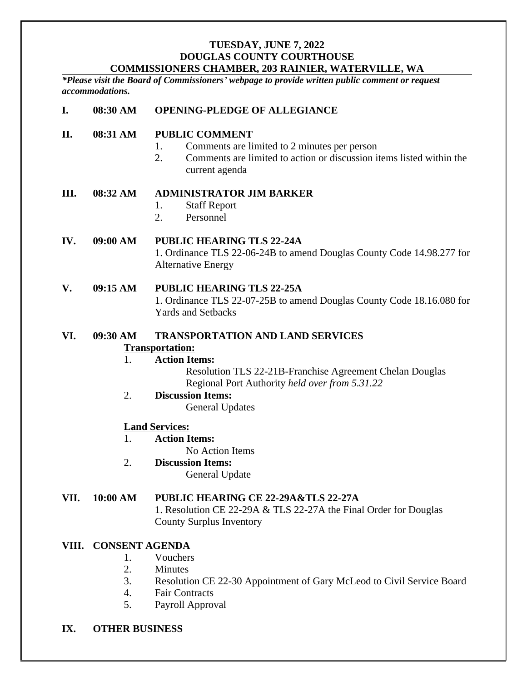#### **TUESDAY, JUNE 7, 2022 DOUGLAS COUNTY COURTHOUSE COMMISSIONERS CHAMBER, 203 RAINIER, WATERVILLE, WA**

*\*Please visit the Board of Commissioners' webpage to provide written public comment or request accommodations.*

## **I. 08:30 AM OPENING-PLEDGE OF ALLEGIANCE**

#### **II. 08:31 AM PUBLIC COMMENT**

- 1. Comments are limited to 2 minutes per person
- 2. Comments are limited to action or discussion items listed within the current agenda

#### **III. 08:32 AM ADMINISTRATOR JIM BARKER**

- 1. Staff Report
- 2. Personnel

#### **IV. 09:00 AM PUBLIC HEARING TLS 22-24A** 1. Ordinance TLS 22-06-24B to amend Douglas County Code 14.98.277 for Alternative Energy

#### **V. 09:15 AM PUBLIC HEARING TLS 22-25A**

1. Ordinance TLS 22-07-25B to amend Douglas County Code 18.16.080 for Yards and Setbacks

# **VI. 09:30 AM TRANSPORTATION AND LAND SERVICES**

#### **Transportation:**

# 1. **Action Items:**

Resolution TLS 22-21B-Franchise Agreement Chelan Douglas Regional Port Authority *held over from 5.31.22*

# 2. **Discussion Items:**

General Updates

#### **Land Services:**

1. **Action Items:**

No Action Items

# 2. **Discussion Items:**

General Update

#### **VII. 10:00 AM PUBLIC HEARING CE 22-29A&TLS 22-27A**

1. Resolution CE 22-29A & TLS 22-27A the Final Order for Douglas County Surplus Inventory

#### **VIII. CONSENT AGENDA**

- 1. Vouchers
- 2. Minutes
- 3. Resolution CE 22-30 Appointment of Gary McLeod to Civil Service Board
- 4. Fair Contracts
- 5. Payroll Approval

#### **IX. OTHER BUSINESS**